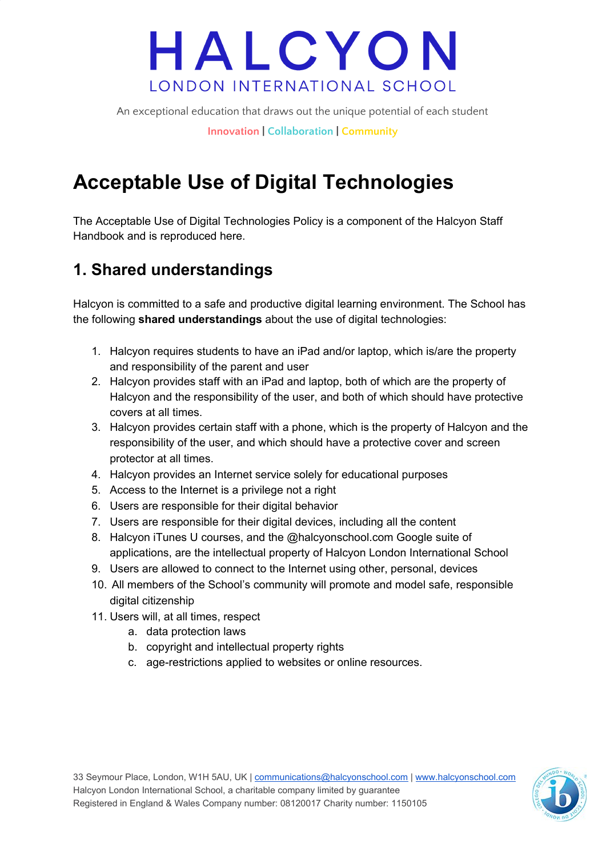An exceptional education that draws out the unique potential of each student

**Innovation | Collaboration | Community**

## **Acceptable Use of Digital Technologies**

The Acceptable Use of Digital Technologies Policy is a component of the Halcyon Staff Handbook and is reproduced here.

### **1. Shared understandings**

Halcyon is committed to a safe and productive digital learning environment. The School has the following **shared understandings** about the use of digital technologies:

- 1. Halcyon requires students to have an iPad and/or laptop, which is/are the property and responsibility of the parent and user
- 2. Halcyon provides staff with an iPad and laptop, both of which are the property of Halcyon and the responsibility of the user, and both of which should have protective covers at all times.
- 3. Halcyon provides certain staff with a phone, which is the property of Halcyon and the responsibility of the user, and which should have a protective cover and screen protector at all times.
- 4. Halcyon provides an Internet service solely for educational purposes
- 5. Access to the Internet is a privilege not a right
- 6. Users are responsible for their digital behavior
- 7. Users are responsible for their digital devices, including all the content
- 8. Halcyon iTunes U courses, and the @halcyonschool.com Google suite of applications, are the intellectual property of Halcyon London International School
- 9. Users are allowed to connect to the Internet using other, personal, devices
- 10. All members of the School's community will promote and model safe, responsible digital citizenship
- 11. Users will, at all times, respect
	- a. data protection laws
	- b. copyright and intellectual property rights
	- c. age-restrictions applied to websites or online resources.

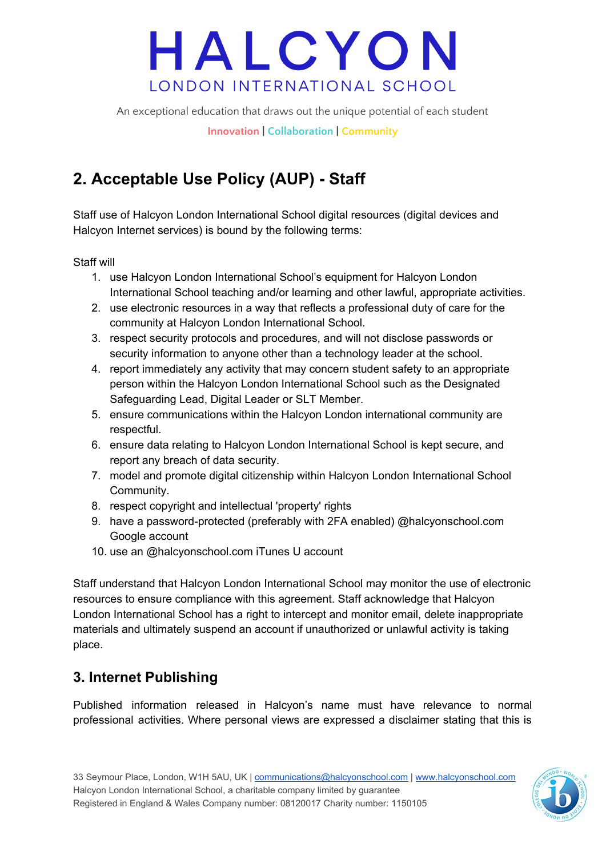An exceptional education that draws out the unique potential of each student

**Innovation | Collaboration | Community**

### **2. Acceptable Use Policy (AUP) - Staff**

Staff use of Halcyon London International School digital resources (digital devices and Halcyon Internet services) is bound by the following terms:

Staff will

- 1. use Halcyon London International School's equipment for Halcyon London International School teaching and/or learning and other lawful, appropriate activities.
- 2. use electronic resources in a way that reflects a professional duty of care for the community at Halcyon London International School.
- 3. respect security protocols and procedures, and will not disclose passwords or security information to anyone other than a technology leader at the school.
- 4. report immediately any activity that may concern student safety to an appropriate person within the Halcyon London International School such as the Designated Safeguarding Lead, Digital Leader or SLT Member.
- 5. ensure communications within the Halcyon London international community are respectful.
- 6. ensure data relating to Halcyon London International School is kept secure, and report any breach of data security.
- 7. model and promote digital citizenship within Halcyon London International School Community.
- 8. respect copyright and intellectual 'property' rights
- 9. have a password-protected (preferably with 2FA enabled) @halcyonschool.com Google account
- 10. use an @halcyonschool.com iTunes U account

Staff understand that Halcyon London International School may monitor the use of electronic resources to ensure compliance with this agreement. Staff acknowledge that Halcyon London International School has a right to intercept and monitor email, delete inappropriate materials and ultimately suspend an account if unauthorized or unlawful activity is taking place.

### **3. Internet Publishing**

Published information released in Halcyon's name must have relevance to normal professional activities. Where personal views are expressed a disclaimer stating that this is

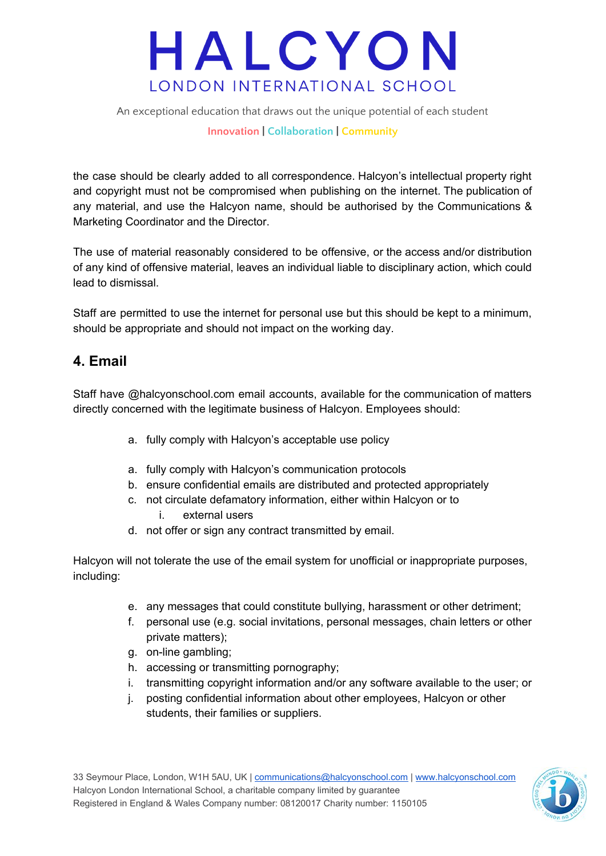An exceptional education that draws out the unique potential of each student

#### **Innovation | Collaboration | Community**

the case should be clearly added to all correspondence. Halcyon's intellectual property right and copyright must not be compromised when publishing on the internet. The publication of any material, and use the Halcyon name, should be authorised by the Communications & Marketing Coordinator and the Director.

The use of material reasonably considered to be offensive, or the access and/or distribution of any kind of offensive material, leaves an individual liable to disciplinary action, which could lead to dismissal.

Staff are permitted to use the internet for personal use but this should be kept to a minimum, should be appropriate and should not impact on the working day.

#### **4. Email**

Staff have @halcyonschool.com email accounts, available for the communication of matters directly concerned with the legitimate business of Halcyon. Employees should:

- a. fully comply with Halcyon's acceptable use policy
- a. fully comply with Halcyon's communication protocols
- b. ensure confidential emails are distributed and protected appropriately
- c. not circulate defamatory information, either within Halcyon or to i. external users
- d. not offer or sign any contract transmitted by email.

Halcyon will not tolerate the use of the email system for unofficial or inappropriate purposes, including:

- e. any messages that could constitute bullying, harassment or other detriment;
- f. personal use (e.g. social invitations, personal messages, chain letters or other private matters);
- g. on-line gambling;
- h. accessing or transmitting pornography;
- i. transmitting copyright information and/or any software available to the user; or
- j. posting confidential information about other employees, Halcyon or other students, their families or suppliers.

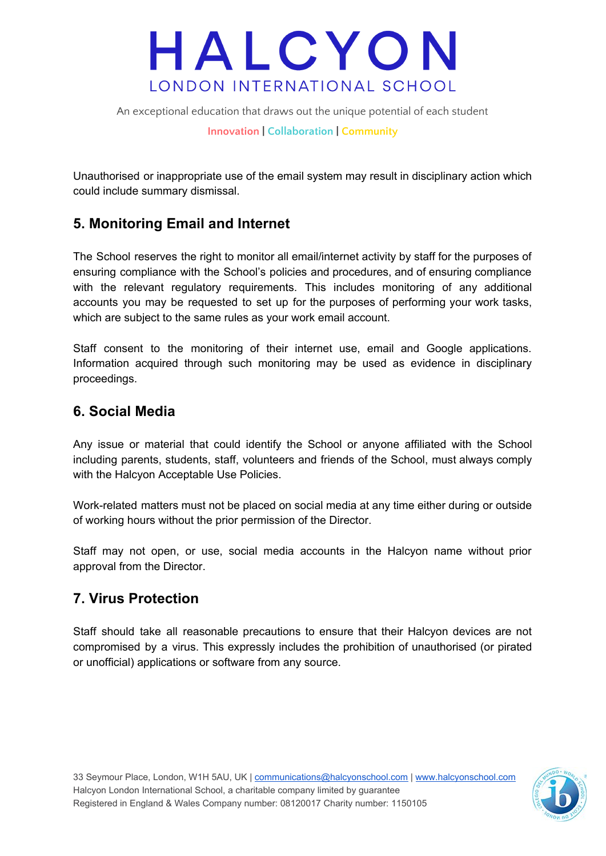An exceptional education that draws out the unique potential of each student

**Innovation | Collaboration | Community**

Unauthorised or inappropriate use of the email system may result in disciplinary action which could include summary dismissal.

#### **5. Monitoring Email and Internet**

The School reserves the right to monitor all email/internet activity by staff for the purposes of ensuring compliance with the School's policies and procedures, and of ensuring compliance with the relevant regulatory requirements. This includes monitoring of any additional accounts you may be requested to set up for the purposes of performing your work tasks, which are subject to the same rules as your work email account.

Staff consent to the monitoring of their internet use, email and Google applications. Information acquired through such monitoring may be used as evidence in disciplinary proceedings.

#### **6. Social Media**

Any issue or material that could identify the School or anyone affiliated with the School including parents, students, staff, volunteers and friends of the School, must always comply with the Halcyon Acceptable Use Policies.

Work-related matters must not be placed on social media at any time either during or outside of working hours without the prior permission of the Director.

Staff may not open, or use, social media accounts in the Halcyon name without prior approval from the Director.

#### **7. Virus Protection**

Staff should take all reasonable precautions to ensure that their Halcyon devices are not compromised by a virus. This expressly includes the prohibition of unauthorised (or pirated or unofficial) applications or software from any source.